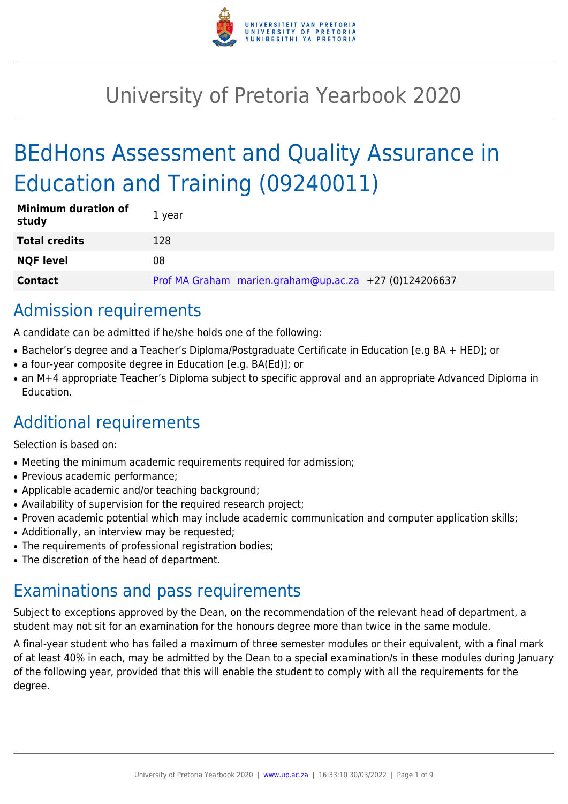

# University of Pretoria Yearbook 2020

# BEdHons Assessment and Quality Assurance in Education and Training (09240011)

| <b>Minimum duration of</b><br>study | 1 year                                                 |
|-------------------------------------|--------------------------------------------------------|
| Total credits                       | 128                                                    |
| <b>NQF level</b>                    | 08                                                     |
| <b>Contact</b>                      | Prof MA Graham marien.graham@up.ac.za +27 (0)124206637 |

# Admission requirements

A candidate can be admitted if he/she holds one of the following:

- Bachelor's degree and a Teacher's Diploma/Postgraduate Certificate in Education [e.g BA + HED]; or
- a four-year composite degree in Education [e.g. BA(Ed)]; or
- an M+4 appropriate Teacher's Diploma subject to specific approval and an appropriate Advanced Diploma in Education.

# Additional requirements

Selection is based on:

- Meeting the minimum academic requirements required for admission;
- Previous academic performance:
- Applicable academic and/or teaching background;
- Availability of supervision for the required research project;
- Proven academic potential which may include academic communication and computer application skills;
- Additionally, an interview may be requested;
- The requirements of professional registration bodies;
- The discretion of the head of department.

# Examinations and pass requirements

Subject to exceptions approved by the Dean, on the recommendation of the relevant head of department, a student may not sit for an examination for the honours degree more than twice in the same module.

A final-year student who has failed a maximum of three semester modules or their equivalent, with a final mark of at least 40% in each, may be admitted by the Dean to a special examination/s in these modules during January of the following year, provided that this will enable the student to comply with all the requirements for the degree.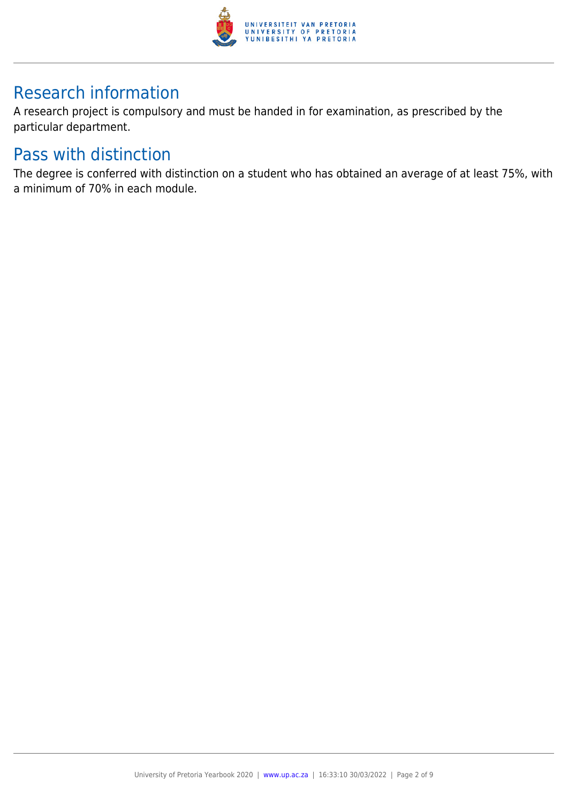

# Research information

A research project is compulsory and must be handed in for examination, as prescribed by the particular department.

# Pass with distinction

The degree is conferred with distinction on a student who has obtained an average of at least 75%, with a minimum of 70% in each module.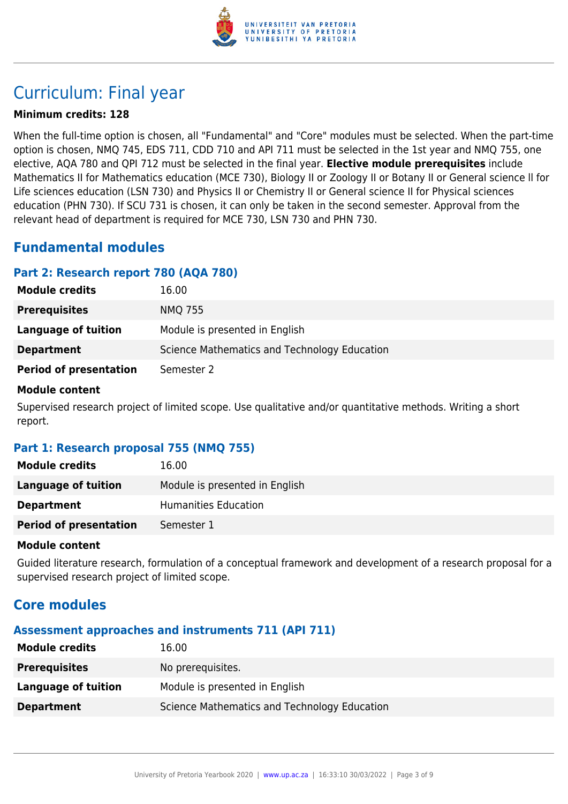

# Curriculum: Final year

### **Minimum credits: 128**

When the full-time option is chosen, all "Fundamental" and "Core" modules must be selected. When the part-time option is chosen, NMQ 745, EDS 711, CDD 710 and API 711 must be selected in the 1st year and NMQ 755, one elective, AQA 780 and QPI 712 must be selected in the final year. **Elective module prerequisites** include Mathematics II for Mathematics education (MCE 730), Biology II or Zoology II or Botany II or General science ll for Life sciences education (LSN 730) and Physics II or Chemistry II or General science II for Physical sciences education (PHN 730). If SCU 731 is chosen, it can only be taken in the second semester. Approval from the relevant head of department is required for MCE 730, LSN 730 and PHN 730.

# **Fundamental modules**

# **Part 2: Research report 780 (AQA 780)**

| <b>Module credits</b>         | 16.00                                        |
|-------------------------------|----------------------------------------------|
| <b>Prerequisites</b>          | <b>NMQ 755</b>                               |
| Language of tuition           | Module is presented in English               |
| <b>Department</b>             | Science Mathematics and Technology Education |
| <b>Period of presentation</b> | Semester 2                                   |

#### **Module content**

Supervised research project of limited scope. Use qualitative and/or quantitative methods. Writing a short report.

# **Part 1: Research proposal 755 (NMQ 755)**

| <b>Module credits</b>         | 16.00                          |
|-------------------------------|--------------------------------|
| Language of tuition           | Module is presented in English |
| <b>Department</b>             | Humanities Education           |
| <b>Period of presentation</b> | Semester 1                     |

#### **Module content**

Guided literature research, formulation of a conceptual framework and development of a research proposal for a supervised research project of limited scope.

# **Core modules**

# **Assessment approaches and instruments 711 (API 711)**

| <b>Module credits</b> | L6.00                                        |
|-----------------------|----------------------------------------------|
| <b>Prerequisites</b>  | No prerequisites.                            |
| Language of tuition   | Module is presented in English               |
| <b>Department</b>     | Science Mathematics and Technology Education |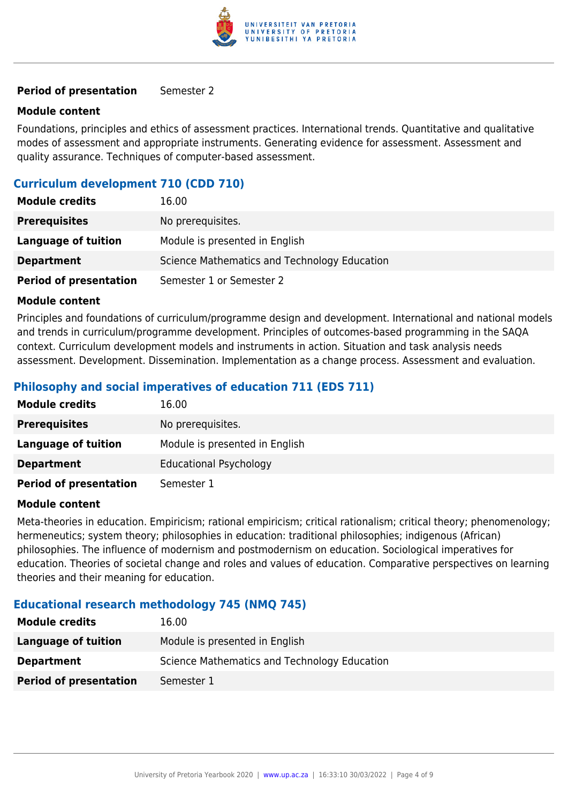

#### **Period of presentation** Semester 2

#### **Module content**

Foundations, principles and ethics of assessment practices. International trends. Quantitative and qualitative modes of assessment and appropriate instruments. Generating evidence for assessment. Assessment and quality assurance. Techniques of computer-based assessment.

### **Curriculum development 710 (CDD 710)**

| <b>Module credits</b>         | 16.00                                        |
|-------------------------------|----------------------------------------------|
| <b>Prerequisites</b>          | No prerequisites.                            |
| Language of tuition           | Module is presented in English               |
| <b>Department</b>             | Science Mathematics and Technology Education |
| <b>Period of presentation</b> | Semester 1 or Semester 2                     |

#### **Module content**

Principles and foundations of curriculum/programme design and development. International and national models and trends in curriculum/programme development. Principles of outcomes-based programming in the SAQA context. Curriculum development models and instruments in action. Situation and task analysis needs assessment. Development. Dissemination. Implementation as a change process. Assessment and evaluation.

# **Philosophy and social imperatives of education 711 (EDS 711)**

| <b>Module credits</b>         | 16.00                          |
|-------------------------------|--------------------------------|
| <b>Prerequisites</b>          | No prerequisites.              |
| Language of tuition           | Module is presented in English |
| <b>Department</b>             | <b>Educational Psychology</b>  |
| <b>Period of presentation</b> | Semester 1                     |

#### **Module content**

Meta-theories in education. Empiricism; rational empiricism; critical rationalism; critical theory; phenomenology; hermeneutics; system theory; philosophies in education: traditional philosophies; indigenous (African) philosophies. The influence of modernism and postmodernism on education. Sociological imperatives for education. Theories of societal change and roles and values of education. Comparative perspectives on learning theories and their meaning for education.

#### **Educational research methodology 745 (NMQ 745)**

| <b>Module credits</b>         | 16.00                                        |
|-------------------------------|----------------------------------------------|
| Language of tuition           | Module is presented in English               |
| <b>Department</b>             | Science Mathematics and Technology Education |
| <b>Period of presentation</b> | Semester 1                                   |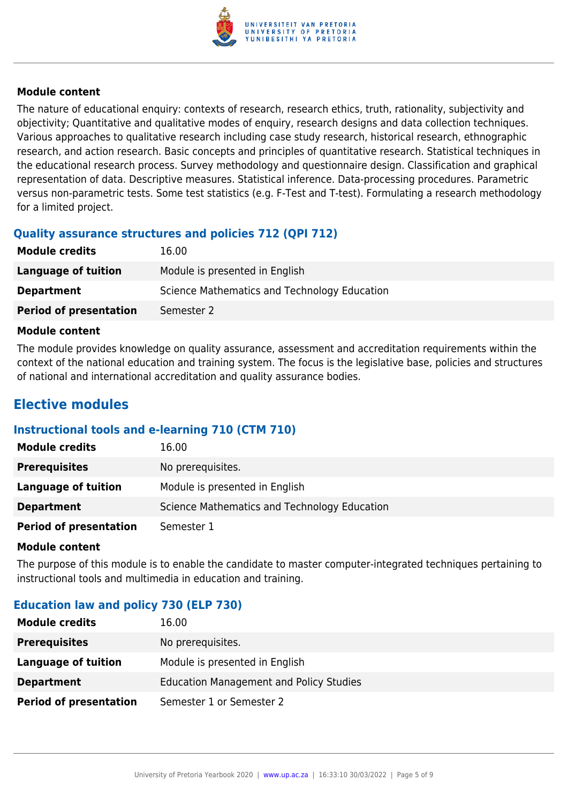

#### **Module content**

The nature of educational enquiry: contexts of research, research ethics, truth, rationality, subjectivity and objectivity; Quantitative and qualitative modes of enquiry, research designs and data collection techniques. Various approaches to qualitative research including case study research, historical research, ethnographic research, and action research. Basic concepts and principles of quantitative research. Statistical techniques in the educational research process. Survey methodology and questionnaire design. Classification and graphical representation of data. Descriptive measures. Statistical inference. Data-processing procedures. Parametric versus non-parametric tests. Some test statistics (e.g. F-Test and T-test). Formulating a research methodology for a limited project.

### **Quality assurance structures and policies 712 (QPI 712)**

| <b>Module credits</b>         | 16.00                                        |
|-------------------------------|----------------------------------------------|
| Language of tuition           | Module is presented in English               |
| <b>Department</b>             | Science Mathematics and Technology Education |
| <b>Period of presentation</b> | Semester 2                                   |

#### **Module content**

The module provides knowledge on quality assurance, assessment and accreditation requirements within the context of the national education and training system. The focus is the legislative base, policies and structures of national and international accreditation and quality assurance bodies.

# **Elective modules**

# **Instructional tools and e-learning 710 (CTM 710)**

| <b>Module credits</b>         | 16.00                                        |
|-------------------------------|----------------------------------------------|
| <b>Prerequisites</b>          | No prerequisites.                            |
| Language of tuition           | Module is presented in English               |
| <b>Department</b>             | Science Mathematics and Technology Education |
| <b>Period of presentation</b> | Semester 1                                   |

#### **Module content**

The purpose of this module is to enable the candidate to master computer-integrated techniques pertaining to instructional tools and multimedia in education and training.

# **Education law and policy 730 (ELP 730)**

| <b>Module credits</b>         | 16.00                                          |
|-------------------------------|------------------------------------------------|
| <b>Prerequisites</b>          | No prerequisites.                              |
| Language of tuition           | Module is presented in English                 |
| <b>Department</b>             | <b>Education Management and Policy Studies</b> |
| <b>Period of presentation</b> | Semester 1 or Semester 2                       |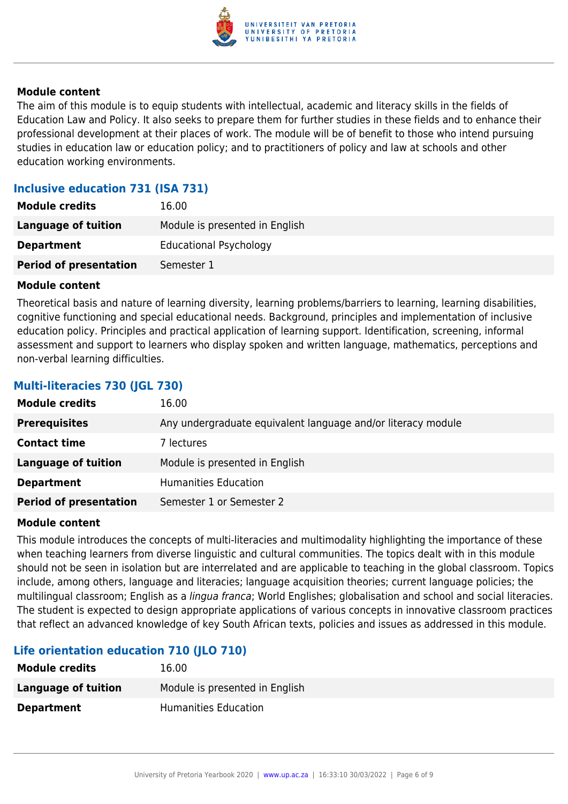

#### **Module content**

The aim of this module is to equip students with intellectual, academic and literacy skills in the fields of Education Law and Policy. It also seeks to prepare them for further studies in these fields and to enhance their professional development at their places of work. The module will be of benefit to those who intend pursuing studies in education law or education policy; and to practitioners of policy and law at schools and other education working environments.

### **Inclusive education 731 (ISA 731)**

| <b>Module credits</b>         | 16.00                          |
|-------------------------------|--------------------------------|
| Language of tuition           | Module is presented in English |
| <b>Department</b>             | <b>Educational Psychology</b>  |
| <b>Period of presentation</b> | Semester 1                     |

#### **Module content**

Theoretical basis and nature of learning diversity, learning problems/barriers to learning, learning disabilities, cognitive functioning and special educational needs. Background, principles and implementation of inclusive education policy. Principles and practical application of learning support. Identification, screening, informal assessment and support to learners who display spoken and written language, mathematics, perceptions and non-verbal learning difficulties.

# **Multi-literacies 730 (JGL 730) Module credits** 16.00 **Prerequisites** Any undergraduate equivalent language and/or literacy module **Contact time** 7 lectures **Language of tuition** Module is presented in English **Department** Humanities Education **Period of presentation** Semester 1 or Semester 2

#### **Module content**

This module introduces the concepts of multi-literacies and multimodality highlighting the importance of these when teaching learners from diverse linguistic and cultural communities. The topics dealt with in this module should not be seen in isolation but are interrelated and are applicable to teaching in the global classroom. Topics include, among others, language and literacies; language acquisition theories; current language policies; the multilingual classroom; English as a lingua franca; World Englishes; globalisation and school and social literacies. The student is expected to design appropriate applications of various concepts in innovative classroom practices that reflect an advanced knowledge of key South African texts, policies and issues as addressed in this module.

# **Life orientation education 710 (JLO 710)**

| 16.00                          |
|--------------------------------|
| Module is presented in English |
| <b>Humanities Education</b>    |
|                                |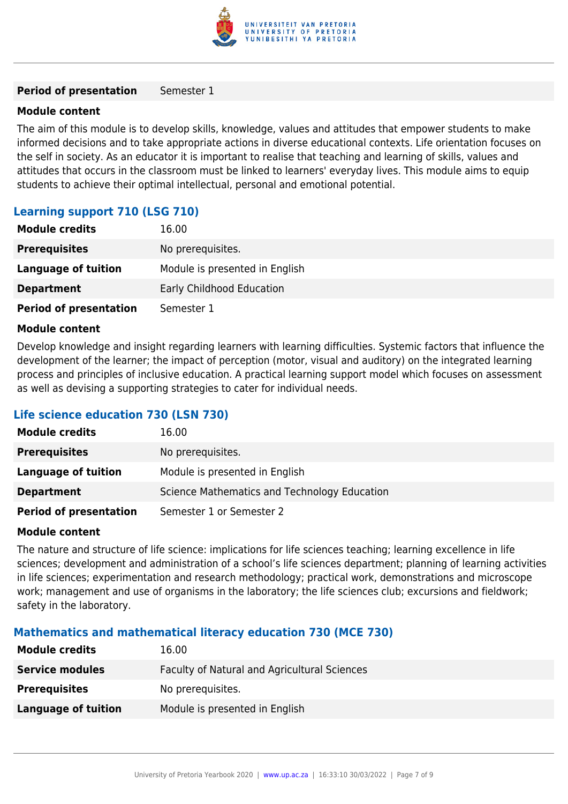

#### **Period of presentation** Semester 1

#### **Module content**

The aim of this module is to develop skills, knowledge, values and attitudes that empower students to make informed decisions and to take appropriate actions in diverse educational contexts. Life orientation focuses on the self in society. As an educator it is important to realise that teaching and learning of skills, values and attitudes that occurs in the classroom must be linked to learners' everyday lives. This module aims to equip students to achieve their optimal intellectual, personal and emotional potential.

# **Learning support 710 (LSG 710)**

| <b>Module credits</b>         | 16.00                          |
|-------------------------------|--------------------------------|
| <b>Prerequisites</b>          | No prerequisites.              |
| Language of tuition           | Module is presented in English |
| <b>Department</b>             | Early Childhood Education      |
| <b>Period of presentation</b> | Semester 1                     |

#### **Module content**

Develop knowledge and insight regarding learners with learning difficulties. Systemic factors that influence the development of the learner; the impact of perception (motor, visual and auditory) on the integrated learning process and principles of inclusive education. A practical learning support model which focuses on assessment as well as devising a supporting strategies to cater for individual needs.

#### **Life science education 730 (LSN 730)**

| <b>Module credits</b>         | 16.00                                        |
|-------------------------------|----------------------------------------------|
| <b>Prerequisites</b>          | No prerequisites.                            |
| Language of tuition           | Module is presented in English               |
| <b>Department</b>             | Science Mathematics and Technology Education |
| <b>Period of presentation</b> | Semester 1 or Semester 2                     |

#### **Module content**

The nature and structure of life science: implications for life sciences teaching; learning excellence in life sciences; development and administration of a school's life sciences department; planning of learning activities in life sciences; experimentation and research methodology; practical work, demonstrations and microscope work; management and use of organisms in the laboratory; the life sciences club; excursions and fieldwork; safety in the laboratory.

#### **Mathematics and mathematical literacy education 730 (MCE 730)**

| <b>Module credits</b>  | 16.00                                        |
|------------------------|----------------------------------------------|
| <b>Service modules</b> | Faculty of Natural and Agricultural Sciences |
| <b>Prerequisites</b>   | No prerequisites.                            |
| Language of tuition    | Module is presented in English               |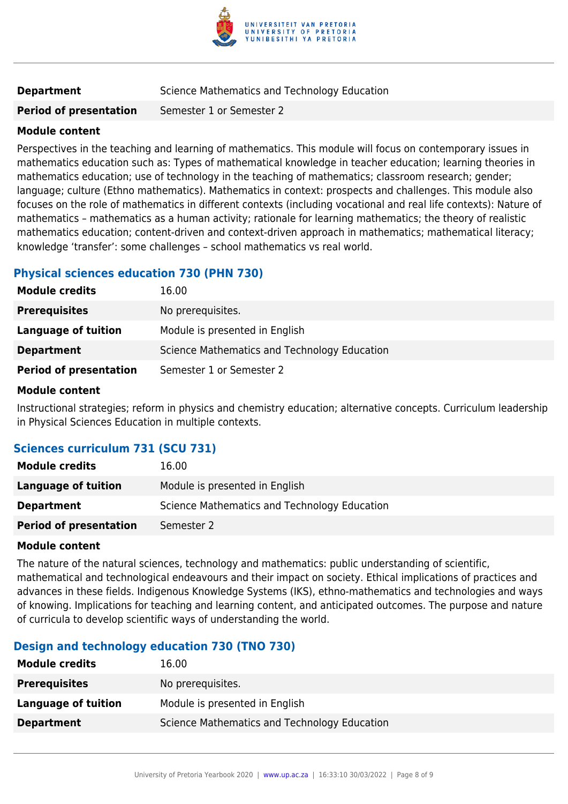

# **Department** Science Mathematics and Technology Education

**Period of presentation** Semester 1 or Semester 2

#### **Module content**

Perspectives in the teaching and learning of mathematics. This module will focus on contemporary issues in mathematics education such as: Types of mathematical knowledge in teacher education; learning theories in mathematics education; use of technology in the teaching of mathematics; classroom research; gender; language; culture (Ethno mathematics). Mathematics in context: prospects and challenges. This module also focuses on the role of mathematics in different contexts (including vocational and real life contexts): Nature of mathematics – mathematics as a human activity; rationale for learning mathematics; the theory of realistic mathematics education; content-driven and context-driven approach in mathematics; mathematical literacy; knowledge 'transfer': some challenges – school mathematics vs real world.

# **Physical sciences education 730 (PHN 730)**

| <b>Module credits</b>         | 16.00                                        |
|-------------------------------|----------------------------------------------|
| <b>Prerequisites</b>          | No prerequisites.                            |
| Language of tuition           | Module is presented in English               |
| <b>Department</b>             | Science Mathematics and Technology Education |
| <b>Period of presentation</b> | Semester 1 or Semester 2                     |

#### **Module content**

Instructional strategies; reform in physics and chemistry education; alternative concepts. Curriculum leadership in Physical Sciences Education in multiple contexts.

# **Sciences curriculum 731 (SCU 731)**

| <b>Module credits</b>         | 16.00                                        |
|-------------------------------|----------------------------------------------|
| Language of tuition           | Module is presented in English               |
| <b>Department</b>             | Science Mathematics and Technology Education |
| <b>Period of presentation</b> | Semester 2                                   |

#### **Module content**

The nature of the natural sciences, technology and mathematics: public understanding of scientific, mathematical and technological endeavours and their impact on society. Ethical implications of practices and advances in these fields. Indigenous Knowledge Systems (IKS), ethno-mathematics and technologies and ways of knowing. Implications for teaching and learning content, and anticipated outcomes. The purpose and nature of curricula to develop scientific ways of understanding the world.

# **Design and technology education 730 (TNO 730)**

| <b>Module credits</b> | 16.00                                        |
|-----------------------|----------------------------------------------|
| <b>Prerequisites</b>  | No prerequisites.                            |
| Language of tuition   | Module is presented in English               |
| <b>Department</b>     | Science Mathematics and Technology Education |